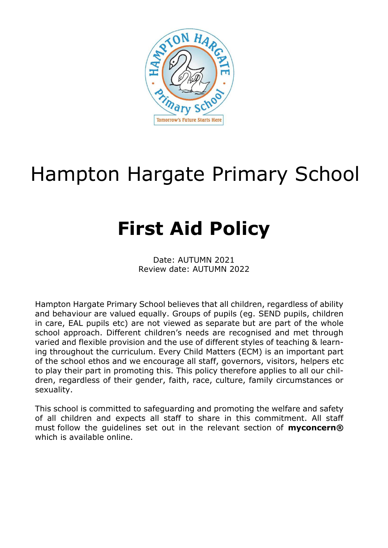

# Hampton Hargate Primary School

# **First Aid Policy**

Date: AUTUMN 2021 Review date: AUTUMN 2022

Hampton Hargate Primary School believes that all children, regardless of ability and behaviour are valued equally. Groups of pupils (eg. SEND pupils, children in care, EAL pupils etc) are not viewed as separate but are part of the whole school approach. Different children's needs are recognised and met through varied and flexible provision and the use of different styles of teaching & learning throughout the curriculum. Every Child Matters (ECM) is an important part of the school ethos and we encourage all staff, governors, visitors, helpers etc to play their part in promoting this. This policy therefore applies to all our children, regardless of their gender, faith, race, culture, family circumstances or sexuality.

This school is committed to safeguarding and promoting the welfare and safety of all children and expects all staff to share in this commitment. All staff must follow the guidelines set out in the relevant section of **myconcern®** which is available online.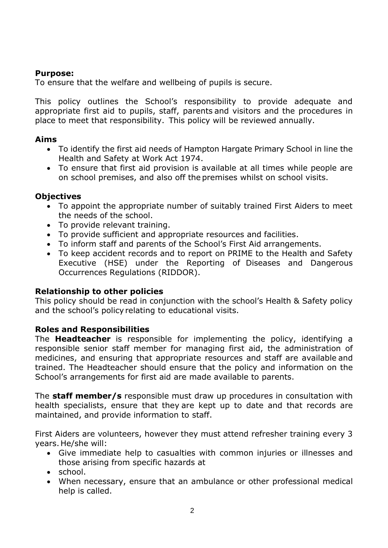## **Purpose:**

To ensure that the welfare and wellbeing of pupils is secure.

This policy outlines the School's responsibility to provide adequate and appropriate first aid to pupils, staff, parents and visitors and the procedures in place to meet that responsibility. This policy will be reviewed annually.

#### **Aims**

- To identify the first aid needs of Hampton Hargate Primary School in line the Health and Safety at Work Act 1974.
- To ensure that first aid provision is available at all times while people are on school premises, and also off the premises whilst on school visits.

## **Objectives**

- To appoint the appropriate number of suitably trained First Aiders to meet the needs of the school.
- To provide relevant training.
- To provide sufficient and appropriate resources and facilities.
- To inform staff and parents of the School's First Aid arrangements.
- To keep accident records and to report on PRIME to the Health and Safety Executive (HSE) under the Reporting of Diseases and Dangerous Occurrences Regulations (RIDDOR).

#### **Relationship to other policies**

This policy should be read in conjunction with the school's Health & Safety policy and the school's policy relating to educational visits.

#### **Roles and Responsibilities**

The **Headteacher** is responsible for implementing the policy, identifying a responsible senior staff member for managing first aid, the administration of medicines, and ensuring that appropriate resources and staff are available and trained. The Headteacher should ensure that the policy and information on the School's arrangements for first aid are made available to parents.

The **staff member/s** responsible must draw up procedures in consultation with health specialists, ensure that they are kept up to date and that records are maintained, and provide information to staff.

First Aiders are volunteers, however they must attend refresher training every 3 years.He/she will:

- Give immediate help to casualties with common injuries or illnesses and those arising from specific hazards at
- school.
- When necessary, ensure that an ambulance or other professional medical help is called.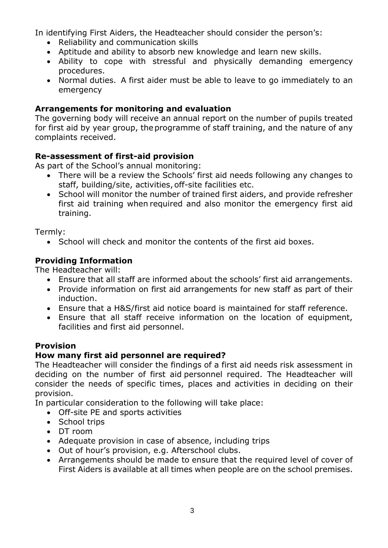In identifying First Aiders, the Headteacher should consider the person's:

- Reliability and communication skills
- Aptitude and ability to absorb new knowledge and learn new skills.
- Ability to cope with stressful and physically demanding emergency procedures.
- Normal duties. A first aider must be able to leave to go immediately to an emergency

# **Arrangements for monitoring and evaluation**

The governing body will receive an annual report on the number of pupils treated for first aid by year group, the programme of staff training, and the nature of any complaints received.

## **Re-assessment of first-aid provision**

As part of the School's annual monitoring:

- There will be a review the Schools' first aid needs following any changes to staff, building/site, activities, off-site facilities etc.
- School will monitor the number of trained first aiders, and provide refresher first aid training when required and also monitor the emergency first aid training.

Termly:

• School will check and monitor the contents of the first aid boxes.

## **Providing Information**

The Headteacher will:

- Ensure that all staff are informed about the schools' first aid arrangements.
- Provide information on first aid arrangements for new staff as part of their induction.
- Ensure that a H&S/first aid notice board is maintained for staff reference.
- Ensure that all staff receive information on the location of equipment, facilities and first aid personnel.

#### **Provision**

#### **How many first aid personnel are required?**

The Headteacher will consider the findings of a first aid needs risk assessment in deciding on the number of first aid personnel required. The Headteacher will consider the needs of specific times, places and activities in deciding on their provision.

In particular consideration to the following will take place:

- Off-site PE and sports activities
- School trips
- DT room
- Adequate provision in case of absence, including trips
- Out of hour's provision, e.g. Afterschool clubs.
- Arrangements should be made to ensure that the required level of cover of First Aiders is available at all times when people are on the school premises.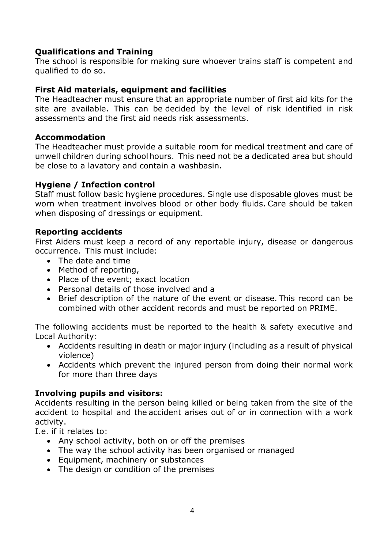# **Qualifications and Training**

The school is responsible for making sure whoever trains staff is competent and qualified to do so.

#### **First Aid materials, equipment and facilities**

The Headteacher must ensure that an appropriate number of first aid kits for the site are available. This can be decided by the level of risk identified in risk assessments and the first aid needs risk assessments.

#### **Accommodation**

The Headteacher must provide a suitable room for medical treatment and care of unwell children during schoolhours. This need not be a dedicated area but should be close to a lavatory and contain a washbasin.

## **Hygiene / Infection control**

Staff must follow basic hygiene procedures. Single use disposable gloves must be worn when treatment involves blood or other body fluids. Care should be taken when disposing of dressings or equipment.

#### **Reporting accidents**

First Aiders must keep a record of any reportable injury, disease or dangerous occurrence. This must include:

- The date and time
- Method of reporting,
- Place of the event; exact location
- Personal details of those involved and a
- Brief description of the nature of the event or disease. This record can be combined with other accident records and must be reported on PRIME.

The following accidents must be reported to the health & safety executive and Local Authority:

- Accidents resulting in death or major injury (including as a result of physical violence)
- Accidents which prevent the injured person from doing their normal work for more than three days

#### **Involving pupils and visitors:**

Accidents resulting in the person being killed or being taken from the site of the accident to hospital and the accident arises out of or in connection with a work activity.

I.e. if it relates to:

- Any school activity, both on or off the premises
- The way the school activity has been organised or managed
- Equipment, machinery or substances
- The design or condition of the premises